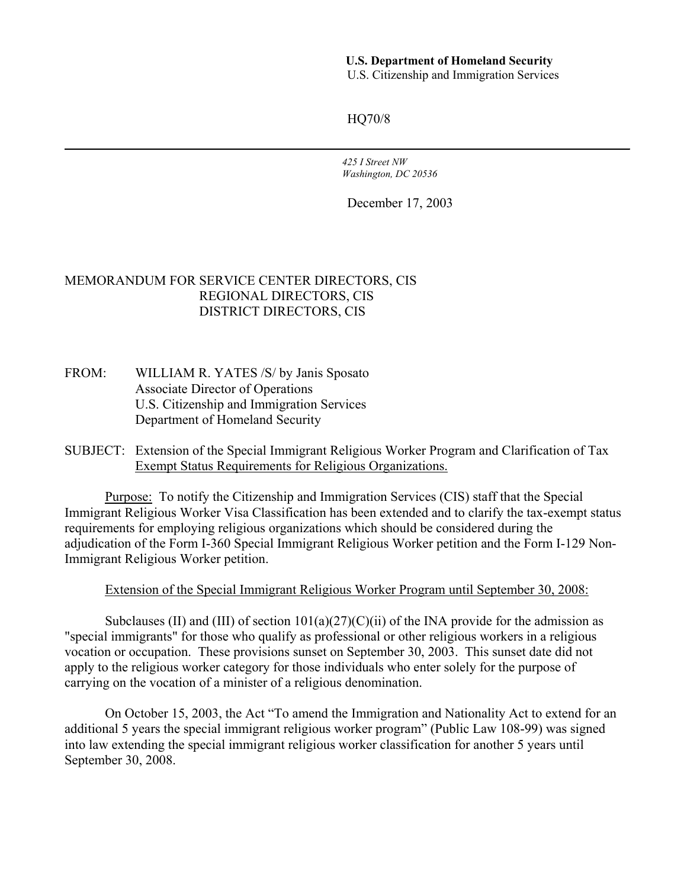#### **U.S. Department of Homeland Security**  U.S. Citizenship and Immigration Services

HQ70/8

*425 I Street NW Washington, DC 20536* 

December 17, 2003

### MEMORANDUM FOR SERVICE CENTER DIRECTORS, CIS REGIONAL DIRECTORS, CIS DISTRICT DIRECTORS, CIS

- FROM: WILLIAM R. YATES /S/ by Janis Sposato Associate Director of Operations U.S. Citizenship and Immigration Services Department of Homeland Security
- SUBJECT: Extension of the Special Immigrant Religious Worker Program and Clarification of Tax Exempt Status Requirements for Religious Organizations.

Purpose: To notify the Citizenship and Immigration Services (CIS) staff that the Special Immigrant Religious Worker Visa Classification has been extended and to clarify the tax-exempt status requirements for employing religious organizations which should be considered during the adjudication of the Form I-360 Special Immigrant Religious Worker petition and the Form I-129 Non-Immigrant Religious Worker petition.

#### Extension of the Special Immigrant Religious Worker Program until September 30, 2008:

Subclauses (II) and (III) of section  $101(a)(27)(C)(ii)$  of the INA provide for the admission as "special immigrants" for those who qualify as professional or other religious workers in a religious vocation or occupation. These provisions sunset on September 30, 2003. This sunset date did not apply to the religious worker category for those individuals who enter solely for the purpose of carrying on the vocation of a minister of a religious denomination.

On October 15, 2003, the Act "To amend the Immigration and Nationality Act to extend for an additional 5 years the special immigrant religious worker program" (Public Law 108-99) was signed into law extending the special immigrant religious worker classification for another 5 years until September 30, 2008.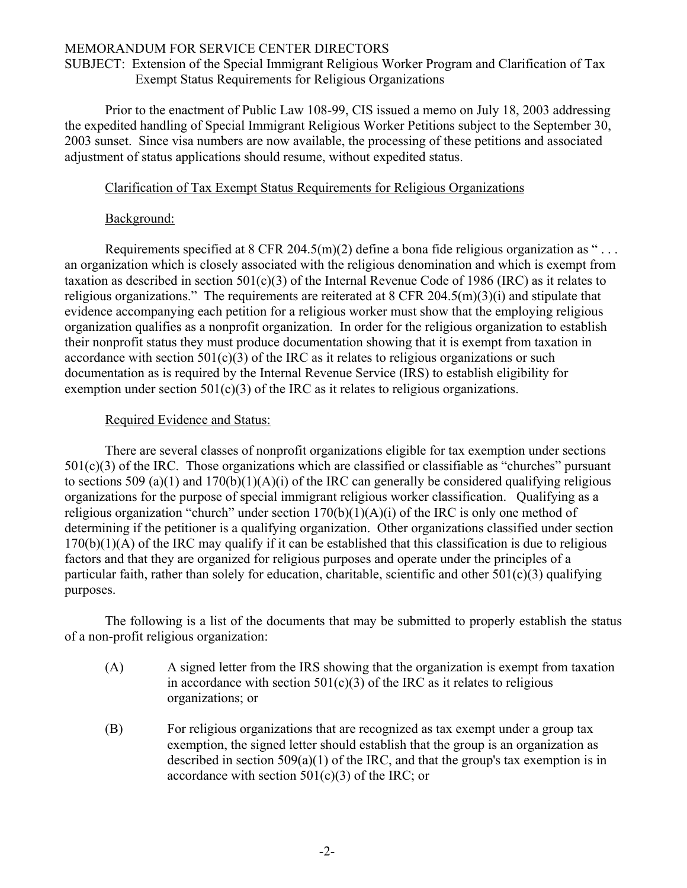# MEMORANDUM FOR SERVICE CENTER DIRECTORS

SUBJECT: Extension of the Special Immigrant Religious Worker Program and Clarification of Tax Exempt Status Requirements for Religious Organizations

Prior to the enactment of Public Law 108-99, CIS issued a memo on July 18, 2003 addressing the expedited handling of Special Immigrant Religious Worker Petitions subject to the September 30, 2003 sunset. Since visa numbers are now available, the processing of these petitions and associated adjustment of status applications should resume, without expedited status.

## Clarification of Tax Exempt Status Requirements for Religious Organizations

# Background:

Requirements specified at  $8 \text{ CFR } 204.5 \text{ (m)}(2)$  define a bona fide religious organization as "... an organization which is closely associated with the religious denomination and which is exempt from taxation as described in section 501(c)(3) of the Internal Revenue Code of 1986 (IRC) as it relates to religious organizations." The requirements are reiterated at 8 CFR 204.5(m)(3)(i) and stipulate that evidence accompanying each petition for a religious worker must show that the employing religious organization qualifies as a nonprofit organization. In order for the religious organization to establish their nonprofit status they must produce documentation showing that it is exempt from taxation in accordance with section  $501(c)(3)$  of the IRC as it relates to religious organizations or such documentation as is required by the Internal Revenue Service (IRS) to establish eligibility for exemption under section  $501(c)(3)$  of the IRC as it relates to religious organizations.

## Required Evidence and Status:

There are several classes of nonprofit organizations eligible for tax exemption under sections  $501(c)(3)$  of the IRC. Those organizations which are classified or classifiable as "churches" pursuant to sections 509 (a)(1) and  $170(b)(1)(A)(i)$  of the IRC can generally be considered qualifying religious organizations for the purpose of special immigrant religious worker classification. Qualifying as a religious organization "church" under section  $170(b)(1)(A)(i)$  of the IRC is only one method of determining if the petitioner is a qualifying organization. Other organizations classified under section 170(b)(1)(A) of the IRC may qualify if it can be established that this classification is due to religious factors and that they are organized for religious purposes and operate under the principles of a particular faith, rather than solely for education, charitable, scientific and other  $501(c)(3)$  qualifying purposes.

The following is a list of the documents that may be submitted to properly establish the status of a non-profit religious organization:

- (A) A signed letter from the IRS showing that the organization is exempt from taxation in accordance with section  $501(c)(3)$  of the IRC as it relates to religious organizations; or
- (B) For religious organizations that are recognized as tax exempt under a group tax exemption, the signed letter should establish that the group is an organization as described in section  $509(a)(1)$  of the IRC, and that the group's tax exemption is in accordance with section  $501(c)(3)$  of the IRC; or